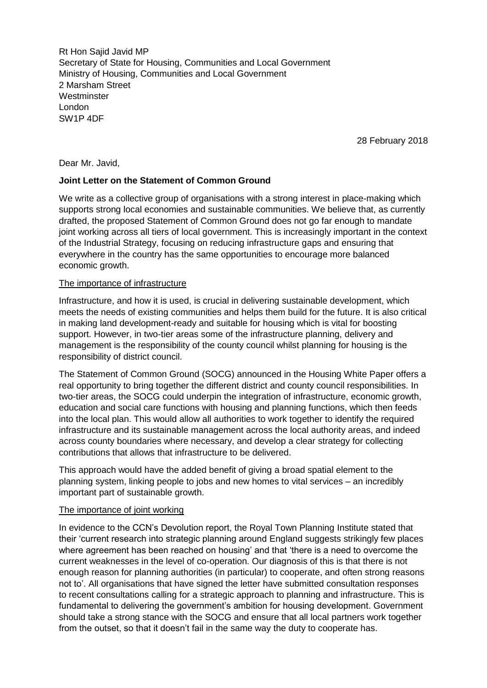Rt Hon Sajid Javid MP Secretary of State for Housing, Communities and Local Government Ministry of Housing, Communities and Local Government 2 Marsham Street **Westminster** London SW1P 4DF

28 February 2018

Dear Mr. Javid,

## **Joint Letter on the Statement of Common Ground**

We write as a collective group of organisations with a strong interest in place-making which supports strong local economies and sustainable communities. We believe that, as currently drafted, the proposed Statement of Common Ground does not go far enough to mandate joint working across all tiers of local government. This is increasingly important in the context of the Industrial Strategy, focusing on reducing infrastructure gaps and ensuring that everywhere in the country has the same opportunities to encourage more balanced economic growth.

## The importance of infrastructure

Infrastructure, and how it is used, is crucial in delivering sustainable development, which meets the needs of existing communities and helps them build for the future. It is also critical in making land development-ready and suitable for housing which is vital for boosting support. However, in two-tier areas some of the infrastructure planning, delivery and management is the responsibility of the county council whilst planning for housing is the responsibility of district council.

The Statement of Common Ground (SOCG) announced in the Housing White Paper offers a real opportunity to bring together the different district and county council responsibilities. In two-tier areas, the SOCG could underpin the integration of infrastructure, economic growth, education and social care functions with housing and planning functions, which then feeds into the local plan. This would allow all authorities to work together to identify the required infrastructure and its sustainable management across the local authority areas, and indeed across county boundaries where necessary, and develop a clear strategy for collecting contributions that allows that infrastructure to be delivered.

This approach would have the added benefit of giving a broad spatial element to the planning system, linking people to jobs and new homes to vital services – an incredibly important part of sustainable growth.

## The importance of joint working

In evidence to the CCN's Devolution report, the Royal Town Planning Institute stated that their 'current research into strategic planning around England suggests strikingly few places where agreement has been reached on housing' and that 'there is a need to overcome the current weaknesses in the level of co-operation. Our diagnosis of this is that there is not enough reason for planning authorities (in particular) to cooperate, and often strong reasons not to'. All organisations that have signed the letter have submitted consultation responses to recent consultations calling for a strategic approach to planning and infrastructure. This is fundamental to delivering the government's ambition for housing development. Government should take a strong stance with the SOCG and ensure that all local partners work together from the outset, so that it doesn't fail in the same way the duty to cooperate has.